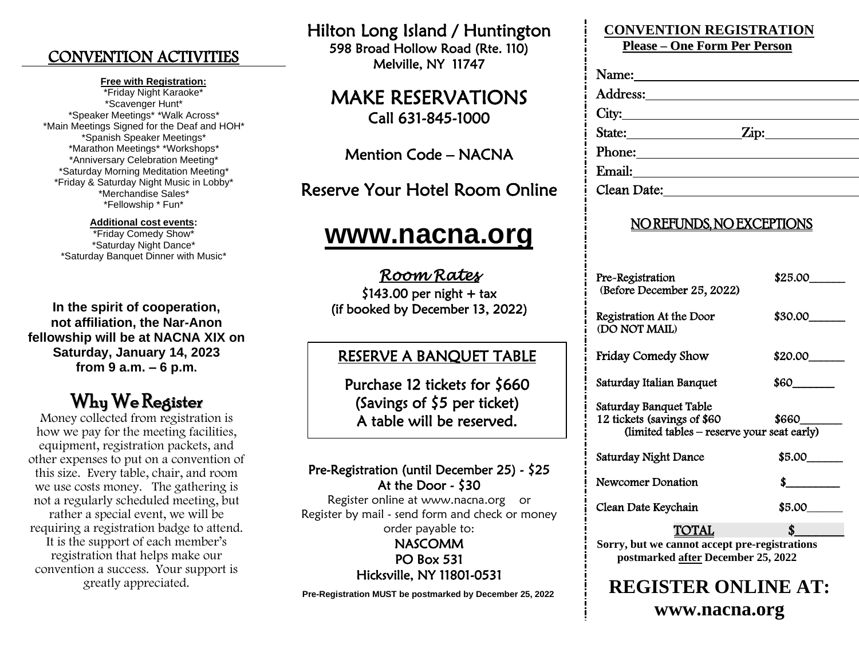### CONVENTION ACTIVITIES

#### **Free with Registration:**

\*Friday Night Karaoke\* \*Scavenger Hunt\* \*Speaker Meetings\* \*Walk Across\* \*Main Meetings Signed for the Deaf and HOH\* \*Spanish Speaker Meetings\* \*Marathon Meetings\* \*Workshops\* \*Anniversary Celebration Meeting\* \*Saturday Morning Meditation Meeting\* \*Friday & Saturday Night Music in Lobby\* \*Merchandise Sales\* \*Fellowship \* Fun\*

#### **Additional cost events:**

\*Friday Comedy Show\* \*Saturday Night Dance\* \*Saturday Banquet Dinner with Music\*

**In the spirit of cooperation, not affiliation, the Nar-Anon fellowship will be at NACNA XIX on Saturday, January 14, 2023 from 9 a.m. – 6 p.m.**

## Why We Register

Money collected from registration is how we pay for the meeting facilities, equipment, registration packets, and other expenses to put on a convention of this size. Every table, chair, and room we use costs money. The gathering is not a regularly scheduled meeting, but rather a special event, we will be requiring a registration badge to attend. It is the support of each member's registration that helps make our convention a success. Your support is greatly appreciated.

Hilton Long Island / Huntington 598 Broad Hollow Road (Rte. 110) Melville, NY 11747

### MAKE RESERVATIONS Call 631-845-1000

Mention Code – NACNA

Reserve Your Hotel Room Online

# **[www.nacna.org](http://www.nacna.org/)**

*Room Rates*   $$143.00$  per night + tax (if booked by December 13, 2022)

#### $\overline{a}$ RESERVE A BANQUET TABLE

 Purchase 12 tickets for \$660 (Savings of \$5 per ticket) A table will be reserved.

#### Pre-Registration (until December 25) - \$25 At the Door - \$30

Register online at www.nacna.org or Register by mail - send form and check or money order payable to:

> NASCOMM PO Box 531 Hicksville, NY 11801-0531

**Pre-Registration MUST be postmarked by December 25, 2022**

## **CONVENTION REGISTRATION**

**Please – One Form Per Person**

| Address:                    |            |  |
|-----------------------------|------------|--|
| City:                       |            |  |
| State:                      | $\sum$ ip: |  |
| Phone:                      |            |  |
| Email: <u>_____________</u> |            |  |
| Clean Date:                 |            |  |

#### NO REFUNDS, NO EXCEPTIONS

| Pre-Registration<br>(Before December 25, 2022)                                                      | \$25.00 |  |
|-----------------------------------------------------------------------------------------------------|---------|--|
| Registration At the Door<br>(DO NOT MAIL)                                                           | \$30.00 |  |
| Friday Comedy Show                                                                                  | \$20.00 |  |
| Saturday Italian Banquet                                                                            | S60_    |  |
| Saturday Banquet Table<br>12 tickets (savings of \$60<br>(limited tables – reserve your seat early) | 8660    |  |
| Saturday Night Dance                                                                                | \$5.00  |  |
| Newcomer Donation                                                                                   | S.      |  |
| Clean Date Keychain                                                                                 | \$5.00  |  |
| TOTAL                                                                                               |         |  |
| Sorry, but we cannot accept pre-registrations                                                       |         |  |

**postmarked after December 25, 2022**

## **REGISTER ONLINE AT: www.nacna.org**